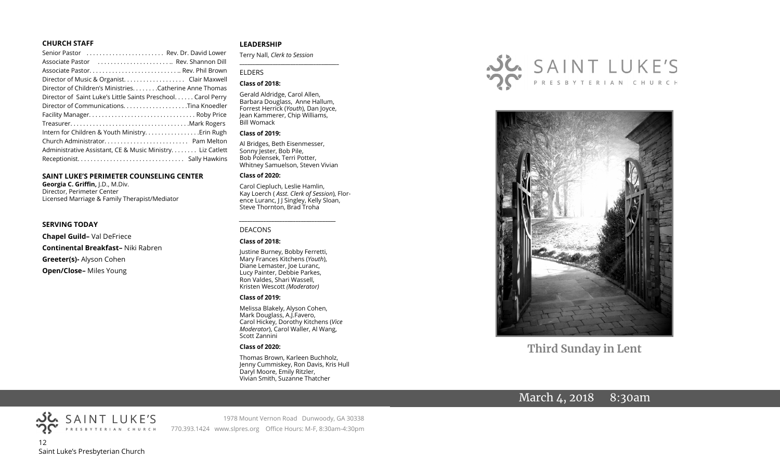#### **CHURCH STAFF**

#### **SAINT LUKE'S PERIMETER COUNSELING CENTER**

**Georgia C. Griffin,** J.D., M.Div. Director, Perimeter Center Licensed Marriage & Family Therapist/Mediator

#### **SERVING TODAY**

**Chapel Guild–** Val DeFriece **Continental Breakfast–** Niki Rabren **Greeter(s)-** Alyson Cohen **Open/Close–** Miles Young

#### **LEADERSHIP**

Terry Nall, *Clerk to Session* 

#### ELDERS

#### **Class of 2018:**

Gerald Aldridge, Carol Allen, Barbara Douglass, Anne Hallum, Forrest Herrick (*Youth*), Dan Joyce, Jean Kammerer, Chip Williams, Bill Womack

**\_\_\_\_\_\_\_\_\_\_\_\_\_\_\_\_\_\_\_\_\_\_\_\_\_\_\_\_\_\_\_\_\_\_\_\_\_\_\_**

#### **Class of 2019:**

Al Bridges, Beth Eisenmesser, Sonny Jester, Bob Pile, Bob Polensek, Terri Potter, Whitney Samuelson, Steven Vivian

#### **Class of 2020:**

Carol Ciepluch, Leslie Hamlin, Kay Loerch ( *Asst. Clerk of Session*), Florence Luranc, J J Singley, Kelly Sloan, Steve Thornton, Brad Troha

#### DEACONS

#### **Class of 2018:**

Justine Burney, Bobby Ferretti, Mary Frances Kitchens (*Youth*), Diane Lemaster, Joe Luranc, Lucy Painter, Debbie Parkes, Ron Valdes, Shari Wassell, Kristen Wescott *(Moderator)*

*\_\_\_\_\_\_\_\_\_\_\_\_\_\_\_\_\_\_\_\_\_\_\_\_\_\_\_\_\_\_\_\_\_\_\_\_*

#### **Class of 2019:**

Melissa Blakely, Alyson Cohen, Mark Douglass, A.J.Favero, Carol Hickey, Dorothy Kitchens (*Vice Moderator*), Carol Waller, Al Wang, Scott Zannini

#### **Class of 2020:**

Thomas Brown, Karleen Buchholz, Jenny Cummiskey, Ron Davis, Kris Hull Daryl Moore, Emily Ritzler, Vivian Smith, Suzanne Thatcher





**Third Sunday in Lent**

# March 4, 2018 8:30am



1978 Mount Vernon Road Dunwoody, GA 30338 770.393.1424 www.slpres.org Office Hours: M-F, 8:30am-4:30pm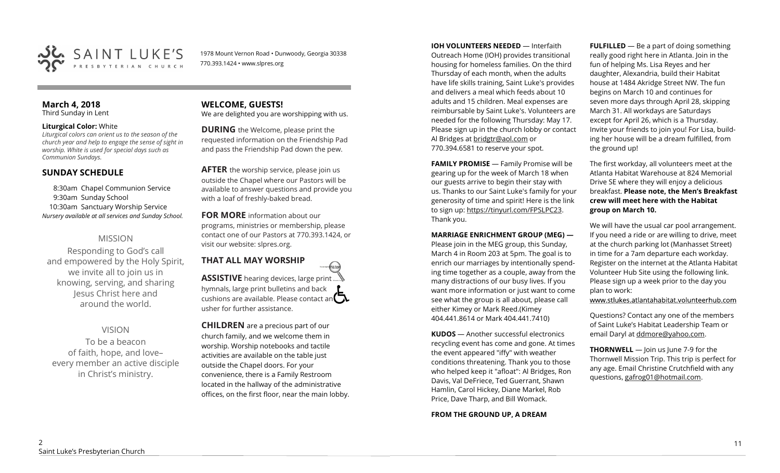

1978 Mount Vernon Road • Dunwoody, Georgia 30338 770.393.1424 • www.slpres.org

#### **March 4, 2018**  Third Sunday in Lent

#### **Liturgical Color:** White

*Liturgical colors can orient us to the season of the church year and help to engage the sense of sight in worship. White is used for special days such as Communion Sundays.*

## **SUNDAY SCHEDULE**

8:30am Chapel Communion Service 9:30am Sunday School 10:30am Sanctuary Worship Service *Nursery available at all services and Sunday School.* 

# MISSION

Responding to God's call and empowered by the Holy Spirit, we invite all to join us in knowing, serving, and sharing Jesus Christ here and around the world.

# VISION

To be a beacon of faith, hope, and love– every member an active disciple in Christ's ministry.

# **WELCOME, GUESTS!**

We are delighted you are worshipping with us.

**DURING** the Welcome, please print the requested information on the Friendship Pad and pass the Friendship Pad down the pew.

**AFTER** the worship service, please join us outside the Chapel where our Pastors will be available to answer questions and provide you with a loaf of freshly-baked bread.

**FOR MORE** information about our programs, ministries or membership, please contact one of our Pastors at 770.393.1424, or visit our website: slpres.org.

#### **THAT ALL MAY WORSHIP** thisted **ASSISTIVE** hearing devices, large print... hymnals, large print bulletins and back cushions are available. Please contact an  $\square$ usher for further assistance.

**CHILDREN** are a precious part of our church family, and we welcome them in worship. Worship notebooks and tactile activities are available on the table just outside the Chapel doors. For your convenience, there is a Family Restroom located in the hallway of the administrative offices, on the first floor, near the main lobby.

**IOH VOLUNTEERS NEEDED** — Interfaith Outreach Home (IOH) provides transitional housing for homeless families. On the third Thursday of each month, when the adults have life skills training, Saint Luke's provides and delivers a meal which feeds about 10 adults and 15 children. Meal expenses are reimbursable by Saint Luke's. Volunteers are needed for the following Thursday: May 17. Please sign up in the church lobby or contact Al Bridges at [bridgtr@aol.com](mailto:bridgtr@aol.com) or 770.394.6581 to reserve your spot.

**FAMILY PROMISE** - Family Promise will be gearing up for the week of March 18 when our guests arrive to begin their stay with us. Thanks to our Saint Luke's family for your generosity of time and spirit! Here is the link to sign up: [https://tinyurl.com/FPSLPC23.](https://tinyurl.com/FPSLPC23) Thank you.

#### **MARRIAGE ENRICHMENT GROUP (MEG) —**

Please join in the MEG group, this Sunday, March 4 in Room 203 at 5pm. The goal is to enrich our marriages by intentionally spending time together as a couple, away from the many distractions of our busy lives. If you want more information or just want to come see what the group is all about, please call either Kimey or Mark Reed.(Kimey 404.441.8614 or Mark 404.441.7410)

**KUDOS** — Another successful electronics recycling event has come and gone. At times the event appeared "iffy" with weather conditions threatening. Thank you to those who helped keep it "afloat": Al Bridges, Ron Davis, Val DeFriece, Ted Guerrant, Shawn Hamlin, Carol Hickey, Diane Markel, Rob Price, Dave Tharp, and Bill Womack.

**FROM THE GROUND UP, A DREAM** 

**FULFILLED** — Be a part of doing something really good right here in Atlanta. Join in the fun of helping Ms. Lisa Reyes and her daughter, Alexandria, build their Habitat house at 1484 Akridge Street NW. The fun begins on March 10 and continues for seven more days through April 28, skipping March 31. All workdays are Saturdays except for April 26, which is a Thursday. Invite your friends to join you! For Lisa, building her house will be a dream fulfilled, from the ground up!

The first workday, all volunteers meet at the Atlanta Habitat Warehouse at 824 Memorial Drive SE where they will enjoy a delicious breakfast. **Please note, the Men's Breakfast crew will meet here with the Habitat group on March 10.**

We will have the usual car pool arrangement. If you need a ride or are willing to drive, meet at the church parking lot (Manhasset Street) in time for a 7am departure each workday. Register on the internet at the Atlanta Habitat Volunteer Hub Site using the following link. Please sign up a week prior to the day you plan to work:

www.stlukes.atlantahabitat.volunteerhub.com

Questions? Contact any one of the members of Saint Luke's Habitat Leadership Team or email Daryl at ddmore@yahoo.com.

**THORNWELL** — Join us June 7-9 for the Thornwell Mission Trip. This trip is perfect for any age. Email Christine Crutchfield with any questions, gafrog01@hotmail.com.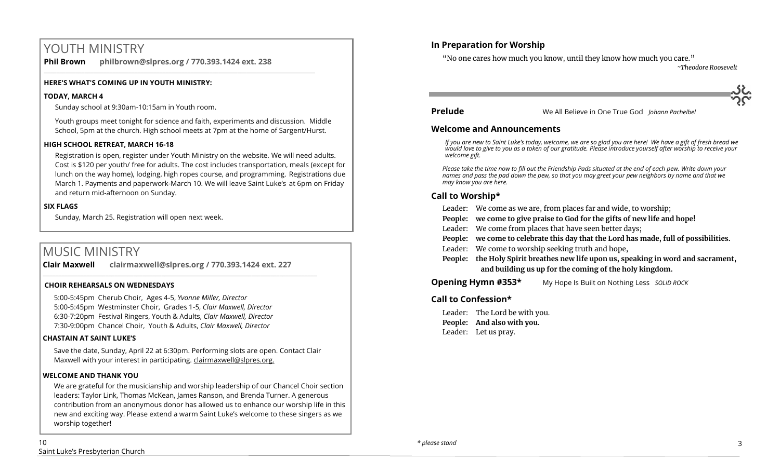# YOUTH MINISTRY

**Phil Brown philbrown@slpres.org / 770.393.1424 ext. 238**  \_\_\_\_\_\_\_\_\_\_\_\_\_\_\_\_\_\_\_\_\_\_\_\_\_\_\_\_\_\_\_\_\_\_\_\_\_\_\_\_\_\_\_\_\_\_\_\_\_\_\_\_\_\_\_\_\_\_\_\_\_\_\_\_\_\_\_\_\_\_\_\_\_\_\_\_\_\_\_\_\_\_\_\_\_\_\_

#### **HERE'S WHAT'S COMING UP IN YOUTH MINISTRY:**

#### **TODAY, MARCH 4**

Sunday school at 9:30am-10:15am in Youth room.

Youth groups meet tonight for science and faith, experiments and discussion. Middle School, 5pm at the church. High school meets at 7pm at the home of Sargent/Hurst.

#### **HIGH SCHOOL RETREAT, MARCH 16-18**

Registration is open, register under Youth Ministry on the website. We will need adults. Cost is \$120 per youth/ free for adults. The cost includes transportation, meals (except for lunch on the way home), lodging, high ropes course, and programming. Registrations due March 1. Payments and paperwork-March 10. We will leave Saint Luke's at 6pm on Friday and return mid-afternoon on Sunday.

## **SIX FLAGS**

Sunday, March 25. Registration will open next week.

# MUSIC MINISTRY

**Clair Maxwell clairmaxwell@slpres.org / 770.393.1424 ext. 227**   $\_$  , and the set of the set of the set of the set of the set of the set of the set of the set of the set of the set of the set of the set of the set of the set of the set of the set of the set of the set of the set of th

#### **CHOIR REHEARSALS ON WEDNESDAYS**

5:00-5:45pm Cherub Choir, Ages 4-5, *Yvonne Miller, Director*  5:00-5:45pm Westminster Choir, Grades 1-5, *Clair Maxwell, Director*  6:30-7:20pm Festival Ringers, Youth & Adults, *Clair Maxwell, Director*  7:30-9:00pm Chancel Choir, Youth & Adults, *Clair Maxwell, Director* 

## **CHASTAIN AT SAINT LUKE'S**

Save the date, Sunday, April 22 at 6:30pm. Performing slots are open. Contact Clair Maxwell with your interest in participating. clairmaxwell@slpres.org.

#### **WELCOME AND THANK YOU**

We are grateful for the musicianship and worship leadership of our Chancel Choir section leaders: Taylor Link, Thomas McKean, James Ranson, and Brenda Turner. A generous contribution from an anonymous donor has allowed us to enhance our worship life in this new and exciting way. Please extend a warm Saint Luke's welcome to these singers as we worship together!

# **In Preparation for Worship**

"No one cares how much you know, until they know how much you care."

*~Theodore Roosevelt*



**Prelude** We All Believe in One True God *Johann Pachelbel*

#### **Welcome and Announcements**

*If you are new to Saint Luke's today, welcome, we are so glad you are here! We have a gift of fresh bread we would love to give to you as a token of our gratitude. Please introduce yourself after worship to receive your welcome gift.*

*Please take the time now to fill out the Friendship Pads situated at the end of each pew. Write down your names and pass the pad down the pew, so that you may greet your pew neighbors by name and that we may know you are here.*

# **Call to Worship\***

- Leader: We come as we are, from places far and wide, to worship;
- **People: we come to give praise to God for the gifts of new life and hope!**
- Leader: We come from places that have seen better days;
- **People: we come to celebrate this day that the Lord has made, full of possibilities.**
- Leader: We come to worship seeking truth and hope,
- **People: the Holy Spirit breathes new life upon us, speaking in word and sacrament, and building us up for the coming of the holy kingdom.**

# **Opening Hymn #353\*** My Hope Is Built on Nothing Less *SOLID ROCK*

## **Call to Confession\***

Leader: The Lord be with you. **People: And also with you.** Leader: Let us pray.

3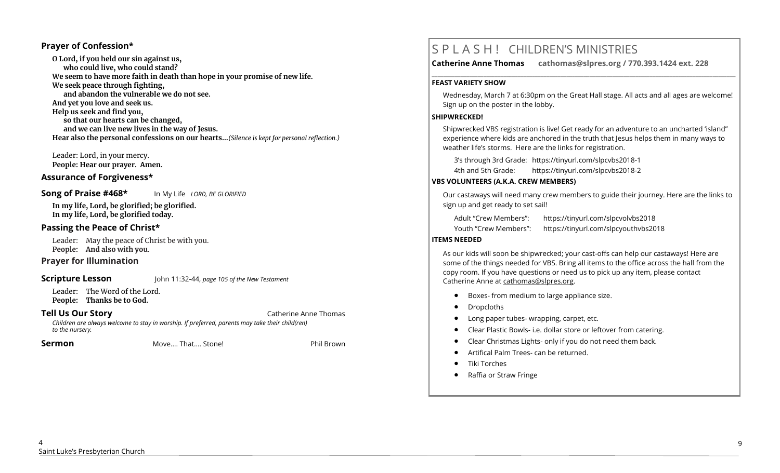#### **Prayer of Confession\***

**O Lord, if you held our sin against us, who could live, who could stand? We seem to have more faith in death than hope in your promise of new life. We seek peace through fighting, and abandon the vulnerable we do not see. And yet you love and seek us. Help us seek and find you, so that our hearts can be changed, and we can live new lives in the way of Jesus. Hear also the personal confessions on our hearts…***(Silence is kept for personal reflection.)*

Leader: Lord, in your mercy. **People: Hear our prayer. Amen.**

#### **Assurance of Forgiveness\***

**Song of Praise #468\*** In My Life *LORD, BE GLORIFIED*

**In my life, Lord, be glorified; be glorified. In my life, Lord, be glorified today.** 

#### **Passing the Peace of Christ\***

Leader: May the peace of Christ be with you. **People: And also with you.** 

#### **Prayer for Illumination**

**Scripture Lesson** John 11:32-44, *page 105 of the New Testament* 

Leader: The Word of the Lord. **People: Thanks be to God.**

**Tell Us Our Story Catherine Anne Thomas** 

*Children are always welcome to stay in worship. If preferred, parents may take their child(ren) to the nursery.*

**Sermon Move.... That.... Stone!** Phil Brown

# S P L A S H ! CHILDREN'S MINISTRIES

**Catherine Anne Thomas cathomas@slpres.org / 770.393.1424 ext. 228** 

#### **FEAST VARIETY SHOW**

Wednesday, March 7 at 6:30pm on the Great Hall stage. All acts and all ages are welcome! Sign up on the poster in the lobby.

**\_\_\_\_\_\_\_\_\_\_\_\_\_\_\_\_\_\_\_\_\_\_\_\_\_\_\_\_\_\_\_\_\_\_\_\_\_\_\_\_\_\_\_\_\_\_\_\_\_\_\_\_\_\_\_\_\_\_\_\_\_\_\_\_\_\_\_\_\_\_\_\_\_\_\_\_\_\_\_\_\_\_\_\_\_\_\_\_\_\_\_\_\_\_\_\_\_\_\_\_\_\_\_\_\_\_** 

#### **SHIPWRECKED!**

Shipwrecked VBS registration is live! Get ready for an adventure to an uncharted 'island" experience where kids are anchored in the truth that Jesus helps them in many ways to weather life's storms. Here are the links for registration.

3's through 3rd Grade: https://tinyurl.com/slpcvbs2018-1

4th and 5th Grade: https://tinyurl.com/slpcvbs2018-2

## **VBS VOLUNTEERS (A.K.A. CREW MEMBERS)**

Our castaways will need many crew members to guide their journey. Here are the links to sign up and get ready to set sail!

Adult "Crew Members": https://tinyurl.com/slpcvolvbs2018

Youth "Crew Members": https://tinyurl.com/slpcyouthvbs2018

# **ITEMS NEEDED**

As our kids will soon be shipwrecked; your cast-offs can help our castaways! Here are some of the things needed for VBS. Bring all items to the office across the hall from the copy room. If you have questions or need us to pick up any item, please contact Catherine Anne at [cathomas@slpres.org.](mailto:cathomas@slpres.org)

- Boxes- from medium to large appliance size.
- Dropcloths
- Long paper tubes- wrapping, carpet, etc.
- Clear Plastic Bowls- i.e. dollar store or leftover from catering.
- Clear Christmas Lights- only if you do not need them back.
- Artifical Palm Trees- can be returned.
- Tiki Torches
- Raffia or Straw Fringe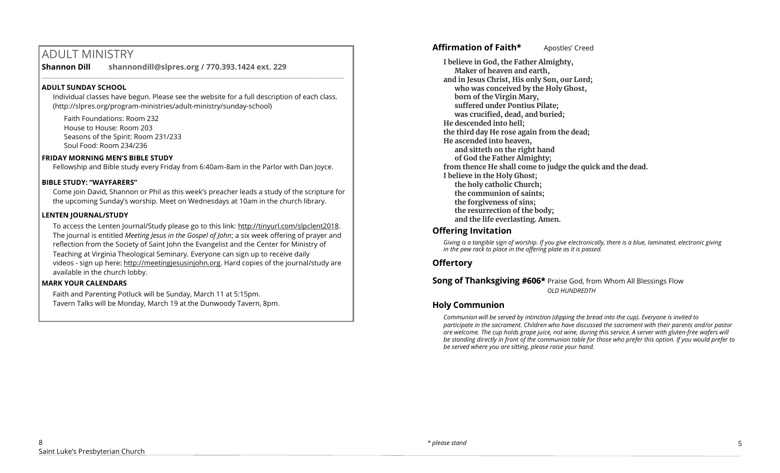# ADULT MINISTRY

**Shannon Dill shannondill@slpres.org / 770.393.1424 ext. 229**   $\mathcal{L}_\mathcal{L} = \mathcal{L}_\mathcal{L} = \mathcal{L}_\mathcal{L} = \mathcal{L}_\mathcal{L} = \mathcal{L}_\mathcal{L} = \mathcal{L}_\mathcal{L} = \mathcal{L}_\mathcal{L} = \mathcal{L}_\mathcal{L} = \mathcal{L}_\mathcal{L} = \mathcal{L}_\mathcal{L} = \mathcal{L}_\mathcal{L} = \mathcal{L}_\mathcal{L} = \mathcal{L}_\mathcal{L} = \mathcal{L}_\mathcal{L} = \mathcal{L}_\mathcal{L} = \mathcal{L}_\mathcal{L} = \mathcal{L}_\mathcal{L}$ 

#### **ADULT SUNDAY SCHOOL**

Individual classes have begun. Please see the website for a full description of each class. (http://slpres.org/program-ministries/adult-ministry/sunday-school)

Faith Foundations: Room 232 House to House: Room 203 Seasons of the Spirit: Room 231/233 Soul Food: Room 234/236

#### **FRIDAY MORNING MEN'S BIBLE STUDY**

Fellowship and Bible study every Friday from 6:40am-8am in the Parlor with Dan Joyce.

#### **BIBLE STUDY: "WAYFARERS"**

Come join David, Shannon or Phil as this week's preacher leads a study of the scripture for the upcoming Sunday's worship. Meet on Wednesdays at 10am in the church library.

#### **LENTEN JOURNAL/STUDY**

To access the Lenten Journal/Study please go to this link: http://tinyurl.com/slpclent2018. The journal is entitled *Meeting Jesus in the Gospel of John*; a six week offering of prayer and reflection from the Society of Saint John the Evangelist and the Center for Ministry of Teaching at Virginia Theological Seminary. Everyone can sign up to receive daily videos - sign up here: [http://meetingjesusinjohn.org.](http://meetingjesusinjohn.org/) Hard copies of the journal/study are available in the church lobby.

#### **MARK YOUR CALENDARS**

Faith and Parenting Potluck will be Sunday, March 11 at 5:15pm. Tavern Talks will be Monday, March 19 at the Dunwoody Tavern, 8pm.

## **Affirmation of Faith\*** Apostles' Creed

**I believe in God, the Father Almighty, Maker of heaven and earth, and in Jesus Christ, His only Son, our Lord; who was conceived by the Holy Ghost, born of the Virgin Mary, suffered under Pontius Pilate; was crucified, dead, and buried; He descended into hell; the third day He rose again from the dead; He ascended into heaven, and sitteth on the right hand of God the Father Almighty; from thence He shall come to judge the quick and the dead. I believe in the Holy Ghost; the holy catholic Church; the communion of saints; the forgiveness of sins; the resurrection of the body; and the life everlasting. Amen.**

## **Offering Invitation**

*Giving is a tangible sign of worship. If you give electronically, there is a blue, laminated, electronic giving in the pew rack to place in the offering plate as it is passed.*

# **Offertory**

#### **Song of Thanksgiving #606\*** Praise God, from Whom All Blessings Flow *OLD HUNDREDTH*

## **Holy Communion**

*Communion will be served by intinction (dipping the bread into the cup). Everyone is invited to participate in the sacrament. Children who have discussed the sacrament with their parents and/or pastor are welcome. The cup holds grape juice, not wine, during this service. A server with gluten-free wafers will be standing directly in front of the communion table for those who prefer this option. If you would prefer to be served where you are sitting, please raise your hand.*